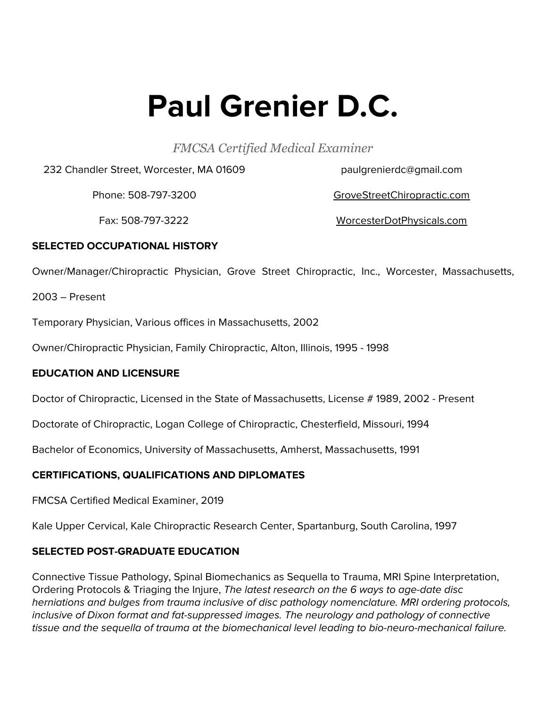# **Paul Grenier D.C.**

*FMCSA Certified Medical Examiner*

232 Chandler Street, Worcester, MA 01609

paulgrenierdc@gmail.com

Phone: 508-797-3200

GroveStreetChiropractic.com

Fax: 508-797-3222

WorcesterDotPhysicals.com

## **SELECTED OCCUPATIONAL HISTORY**

Owner/Manager/Chiropractic Physician, Grove Street Chiropractic, Inc., Worcester, Massachusetts,

2003 – Present

Temporary Physician, Various offices in Massachusetts, 2002

Owner/Chiropractic Physician, Family Chiropractic, Alton, Illinois, 1995 - 1998

## **EDUCATION AND LICENSURE**

Doctor of Chiropractic, Licensed in the State of Massachusetts, License # 1989, 2002 - Present

Doctorate of Chiropractic, Logan College of Chiropractic, Chesterfield, Missouri, 1994

Bachelor of Economics, University of Massachusetts, Amherst, Massachusetts, 1991

## **CERTIFICATIONS, QUALIFICATIONS AND DIPLOMATES**

FMCSA Certified Medical Examiner, 2019

Kale Upper Cervical, Kale Chiropractic Research Center, Spartanburg, South Carolina, 1997

## **SELECTED POST-GRADUATE EDUCATION**

Connective Tissue Pathology, Spinal Biomechanics as Sequella to Trauma, MRI Spine Interpretation, Ordering Protocols & Triaging the Injure, The latest research on the 6 ways to age-date disc herniations and bulges from trauma inclusive of disc pathology nomenclature. MRI ordering protocols, inclusive of Dixon format and fat-suppressed images. The neurology and pathology of connective tissue and the sequella of trauma at the biomechanical level leading to bio-neuro-mechanical failure.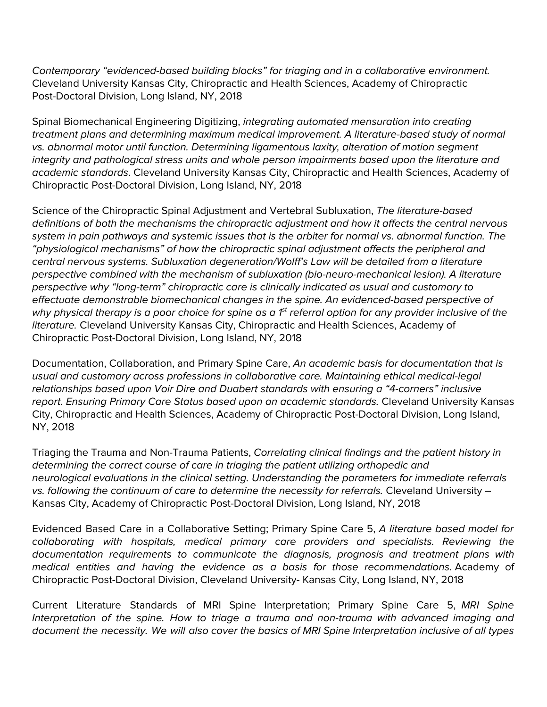Contemporary "evidenced-based building blocks" for triaging and in a collaborative environment. Cleveland University Kansas City, Chiropractic and Health Sciences, Academy of Chiropractic Post-Doctoral Division, Long Island, NY, 2018

Spinal Biomechanical Engineering Digitizing, integrating automated mensuration into creating treatment plans and determining maximum medical improvement. A literature-based study of normal vs. abnormal motor until function. Determining ligamentous laxity, alteration of motion segment integrity and pathological stress units and whole person impairments based upon the literature and academic standards. Cleveland University Kansas City, Chiropractic and Health Sciences, Academy of Chiropractic Post-Doctoral Division, Long Island, NY, 2018

Science of the Chiropractic Spinal Adjustment and Vertebral Subluxation, The literature-based definitions of both the mechanisms the chiropractic adjustment and how it affects the central nervous system in pain pathways and systemic issues that is the arbiter for normal vs. abnormal function. The "physiological mechanisms" of how the chiropractic spinal adjustment affects the peripheral and central nervous systems. Subluxation degeneration/Wolff's Law will be detailed from a literature perspective combined with the mechanism of subluxation (bio-neuro-mechanical lesion). A literature perspective why "long-term" chiropractic care is clinically indicated as usual and customary to effectuate demonstrable biomechanical changes in the spine. An evidenced-based perspective of why physical therapy is a poor choice for spine as a 1<sup>st</sup> referral option for any provider inclusive of the literature. Cleveland University Kansas City, Chiropractic and Health Sciences, Academy of Chiropractic Post-Doctoral Division, Long Island, NY, 2018

Documentation, Collaboration, and Primary Spine Care, An academic basis for documentation that is usual and customary across professions in collaborative care. Maintaining ethical medical-legal relationships based upon Voir Dire and Duabert standards with ensuring a "4-corners" inclusive report. Ensuring Primary Care Status based upon an academic standards. Cleveland University Kansas City, Chiropractic and Health Sciences, Academy of Chiropractic Post-Doctoral Division, Long Island, NY, 2018

Triaging the Trauma and Non-Trauma Patients, Correlating clinical findings and the patient history in determining the correct course of care in triaging the patient utilizing orthopedic and neurological evaluations in the clinical setting. Understanding the parameters for immediate referrals vs. following the continuum of care to determine the necessity for referrals. Cleveland University – Kansas City, Academy of Chiropractic Post-Doctoral Division, Long Island, NY, 2018

Evidenced Based Care in a Collaborative Setting; Primary Spine Care 5, A literature based model for collaborating with hospitals, medical primary care providers and specialists. Reviewing the documentation requirements to communicate the diagnosis, prognosis and treatment plans with medical entities and having the evidence as a basis for those recommendations. Academy of Chiropractic Post-Doctoral Division, Cleveland University- Kansas City, Long Island, NY, 2018

Current Literature Standards of MRI Spine Interpretation; Primary Spine Care 5, MRI Spine Interpretation of the spine. How to triage a trauma and non-trauma with advanced imaging and document the necessity. We will also cover the basics of MRI Spine Interpretation inclusive of all types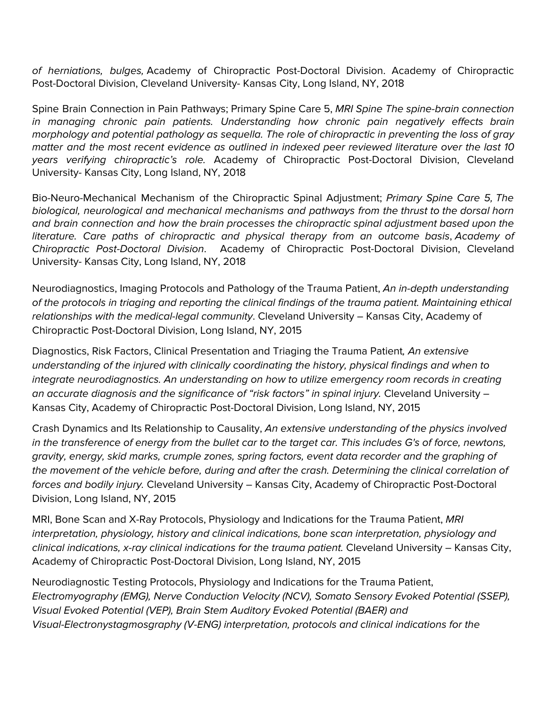of herniations, bulges, Academy of Chiropractic Post-Doctoral Division. Academy of Chiropractic Post-Doctoral Division, Cleveland University- Kansas City, Long Island, NY, 2018

Spine Brain Connection in Pain Pathways; Primary Spine Care 5, MRI Spine The spine-brain connection in managing chronic pain patients. Understanding how chronic pain negatively effects brain morphology and potential pathology as sequella. The role of chiropractic in preventing the loss of gray matter and the most recent evidence as outlined in indexed peer reviewed literature over the last 10 years verifying chiropractic's role. Academy of Chiropractic Post-Doctoral Division, Cleveland University- Kansas City, Long Island, NY, 2018

Bio-Neuro-Mechanical Mechanism of the Chiropractic Spinal Adjustment; Primary Spine Care 5, The biological, neurological and mechanical mechanisms and pathways from the thrust to the dorsal horn and brain connection and how the brain processes the chiropractic spinal adjustment based upon the literature. Care paths of chiropractic and physical therapy from an outcome basis, Academy of Chiropractic Post-Doctoral Division. Academy of Chiropractic Post-Doctoral Division, Cleveland University- Kansas City, Long Island, NY, 2018

Neurodiagnostics, Imaging Protocols and Pathology of the Trauma Patient, An in-depth understanding of the protocols in triaging and reporting the clinical findings of the trauma patient. Maintaining ethical relationships with the medical-legal community. Cleveland University – Kansas City, Academy of Chiropractic Post-Doctoral Division, Long Island, NY, 2015

Diagnostics, Risk Factors, Clinical Presentation and Triaging the Trauma Patient, An extensive understanding of the injured with clinically coordinating the history, physical findings and when to integrate neurodiagnostics. An understanding on how to utilize emergency room records in creating an accurate diagnosis and the significance of "risk factors" in spinal injury. Cleveland University – Kansas City, Academy of Chiropractic Post-Doctoral Division, Long Island, NY, 2015

Crash Dynamics and Its Relationship to Causality, An extensive understanding of the physics involved in the transference of energy from the bullet car to the target car. This includes G's of force, newtons, gravity, energy, skid marks, crumple zones, spring factors, event data recorder and the graphing of the movement of the vehicle before, during and after the crash. Determining the clinical correlation of forces and bodily injury. Cleveland University – Kansas City, Academy of Chiropractic Post-Doctoral Division, Long Island, NY, 2015

MRI, Bone Scan and X-Ray Protocols, Physiology and Indications for the Trauma Patient, MRI interpretation, physiology, history and clinical indications, bone scan interpretation, physiology and clinical indications, x-ray clinical indications for the trauma patient. Cleveland University – Kansas City, Academy of Chiropractic Post-Doctoral Division, Long Island, NY, 2015

Neurodiagnostic Testing Protocols, Physiology and Indications for the Trauma Patient, Electromyography (EMG), Nerve Conduction Velocity (NCV), Somato Sensory Evoked Potential (SSEP), Visual Evoked Potential (VEP), Brain Stem Auditory Evoked Potential (BAER) and Visual-Electronystagmosgraphy (V-ENG) interpretation, protocols and clinical indications for the